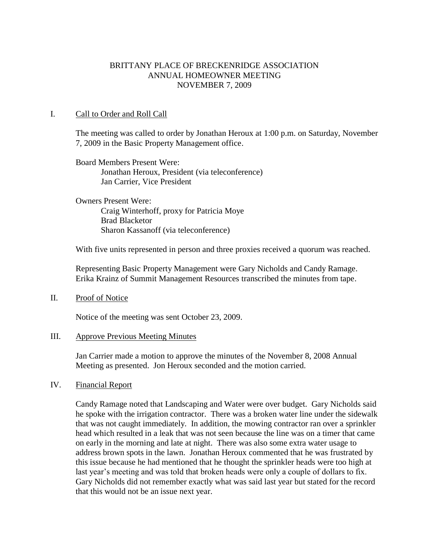## BRITTANY PLACE OF BRECKENRIDGE ASSOCIATION ANNUAL HOMEOWNER MEETING NOVEMBER 7, 2009

### I. Call to Order and Roll Call

The meeting was called to order by Jonathan Heroux at 1:00 p.m. on Saturday, November 7, 2009 in the Basic Property Management office.

Board Members Present Were: Jonathan Heroux, President (via teleconference) Jan Carrier, Vice President

Owners Present Were: Craig Winterhoff, proxy for Patricia Moye Brad Blacketor Sharon Kassanoff (via teleconference)

With five units represented in person and three proxies received a quorum was reached.

Representing Basic Property Management were Gary Nicholds and Candy Ramage. Erika Krainz of Summit Management Resources transcribed the minutes from tape.

### II. Proof of Notice

Notice of the meeting was sent October 23, 2009.

#### III. Approve Previous Meeting Minutes

Jan Carrier made a motion to approve the minutes of the November 8, 2008 Annual Meeting as presented. Jon Heroux seconded and the motion carried.

### IV. Financial Report

Candy Ramage noted that Landscaping and Water were over budget. Gary Nicholds said he spoke with the irrigation contractor. There was a broken water line under the sidewalk that was not caught immediately. In addition, the mowing contractor ran over a sprinkler head which resulted in a leak that was not seen because the line was on a timer that came on early in the morning and late at night. There was also some extra water usage to address brown spots in the lawn. Jonathan Heroux commented that he was frustrated by this issue because he had mentioned that he thought the sprinkler heads were too high at last year's meeting and was told that broken heads were only a couple of dollars to fix. Gary Nicholds did not remember exactly what was said last year but stated for the record that this would not be an issue next year.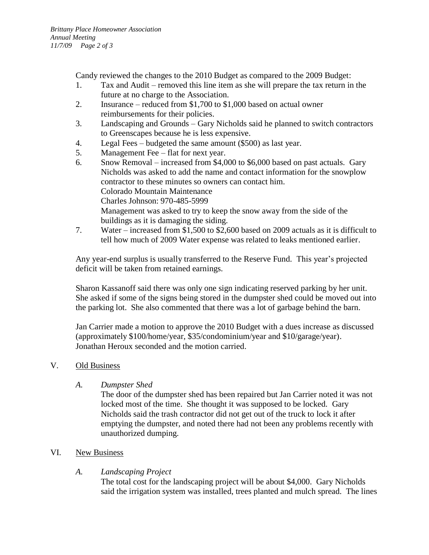Candy reviewed the changes to the 2010 Budget as compared to the 2009 Budget:

- 1. Tax and Audit removed this line item as she will prepare the tax return in the future at no charge to the Association.
- 2. Insurance reduced from \$1,700 to \$1,000 based on actual owner reimbursements for their policies.
- 3. Landscaping and Grounds Gary Nicholds said he planned to switch contractors to Greenscapes because he is less expensive.
- 4. Legal Fees budgeted the same amount (\$500) as last year.
- 5. Management Fee flat for next year.
- 6. Snow Removal increased from \$4,000 to \$6,000 based on past actuals. Gary Nicholds was asked to add the name and contact information for the snowplow contractor to these minutes so owners can contact him. Colorado Mountain Maintenance Charles Johnson: 970-485-5999 Management was asked to try to keep the snow away from the side of the buildings as it is damaging the siding.
- 7. Water increased from \$1,500 to \$2,600 based on 2009 actuals as it is difficult to tell how much of 2009 Water expense was related to leaks mentioned earlier.

Any year-end surplus is usually transferred to the Reserve Fund. This year's projected deficit will be taken from retained earnings.

Sharon Kassanoff said there was only one sign indicating reserved parking by her unit. She asked if some of the signs being stored in the dumpster shed could be moved out into the parking lot. She also commented that there was a lot of garbage behind the barn.

Jan Carrier made a motion to approve the 2010 Budget with a dues increase as discussed (approximately \$100/home/year, \$35/condominium/year and \$10/garage/year). Jonathan Heroux seconded and the motion carried.

# V. Old Business

# *A. Dumpster Shed*

The door of the dumpster shed has been repaired but Jan Carrier noted it was not locked most of the time. She thought it was supposed to be locked. Gary Nicholds said the trash contractor did not get out of the truck to lock it after emptying the dumpster, and noted there had not been any problems recently with unauthorized dumping.

## VI. New Business

# *A. Landscaping Project*

The total cost for the landscaping project will be about \$4,000. Gary Nicholds said the irrigation system was installed, trees planted and mulch spread. The lines